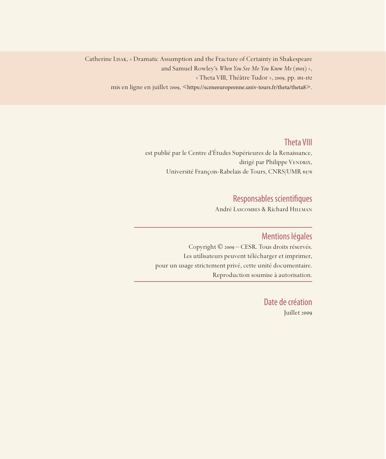Catherine Lisak, « Dramatic Assumption and the Fracture of Certainty in Shakespeare and Samuel Rowley's *When You See Me You Know Me* (1605) », « Theta VIII, Théâtre Tudor », 2009, pp. 161-182 mis en ligne en juillet 2009, <https://sceneeuropeenne.univ-tours.fr/theta/theta8>.

## Theta VIII

est publié par le Centre d'Études Supérieures de la Renaissance, dirigé par Philippe VENDRIX, Université François-Rabelais de Tours, CNRS/UMR 6576

# Responsables scientifiques

André Lascombes & Richard Hillman

### Mentions légales

Copyright © 2009 – CESR. Tous droits réservés. Les utilisateurs peuvent télécharger et imprimer, pour un usage strictement privé, cette unité documentaire. Reproduction soumise à autorisation.

> Date de création Juillet 2009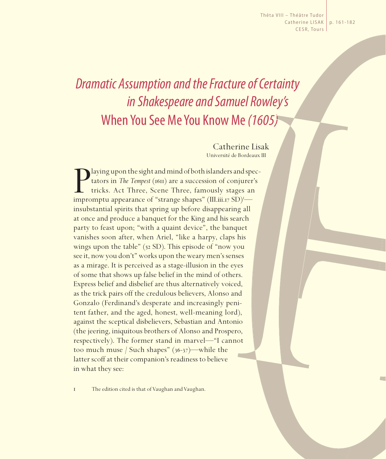Thêta VIII – Théâtre Tudor Catherine LISAK | p. 161-182 CESR, Tours

# *Dramatic Assumption and the Fracture of Certainty in Shakespeare and Samuel Rowley's*  When You See Me You Know Me *(1605)*

Catherine Lisak Université de Bordeaux III

I aying upon the sight and mind of both islanders and sp<br>tators in *The Tempest* (1611) are a succession of conjurer<br>tricks. Act Three, Scene Three, famously stages an<br>impromptu appearance of "strange shapes" (III.iii.17 S laying upon the sight and mind of both islanders and spectators in *The Tempest* (1611) are a succession of conjurer's tricks. Act Three, Scene Three, famously stages an insubstantial spirits that spring up before disappearing all at once and produce a banquet for the King and his search party to feast upon; "with a quaint device", the banquet vanishes soon after, when Ariel, "like a harpy, claps his wings upon the table" (52 SD). This episode of "now you see it, now you don't" works upon the weary men's senses as a mirage. It is perceived as a stage-illusion in the eyes of some that shows up false belief in the mind of others. Express belief and disbelief are thus alternatively voiced, as the trick pairs off the credulous believers, Alonso and Gonzalo (Ferdinand's desperate and increasingly penitent father, and the aged, honest, well-meaning lord), against the sceptical disbelievers, Sebastian and Antonio (the jeering, iniquitous brothers of Alonso and Prospero, respectively). The former stand in marvel—"I cannot too much muse / Such shapes" (36-37)—while the latter scoff at their companion's readiness to believe in what they see:

1 The edition cited is that of Vaughan and Vaughan.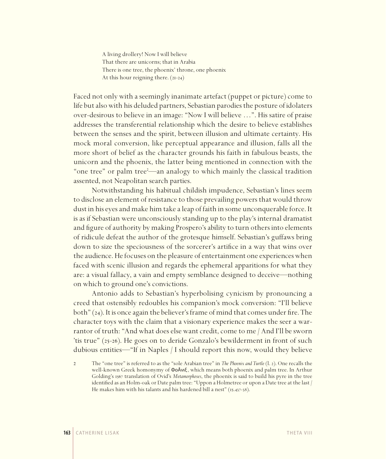A living drollery! Now I will believe That there are unicorns; that in Arabia There is one tree, the phoenix' throne, one phoenix At this hour reigning there. (21-24)

Faced not only with a seemingly inanimate artefact (puppet or picture) come to life but also with his deluded partners, Sebastian parodies the posture of idolaters over-desirous to believe in an image: "Now I will believe …". His satire of praise addresses the transferential relationship which the desire to believe establishes between the senses and the spirit, between illusion and ultimate certainty. His mock moral conversion, like perceptual appearance and illusion, falls all the more short of belief as the character grounds his faith in fabulous beasts, the unicorn and the phoenix, the latter being mentioned in connection with the "one tree" or palm tree<sup>2</sup>—an analogy to which mainly the classical tradition assented, not Neapolitan search parties.

Notwithstanding his habitual childish impudence, Sebastian's lines seem to disclose an element of resistance to those prevailing powers that would throw dust in his eyes and make him take a leap of faith in some unconquerable force. It is as if Sebastian were unconsciously standing up to the play's internal dramatist and figure of authority by making Prospero's ability to turn others into elements of ridicule defeat the author of the grotesque himself. Sebastian's guffaws bring down to size the speciousness of the sorcerer's artifice in a way that wins over the audience. He focuses on the pleasure of entertainment one experiences when faced with scenic illusion and regards the ephemeral apparitions for what they are: a visual fallacy, a vain and empty semblance designed to deceive—nothing on which to ground one's convictions.

Antonio adds to Sebastian's hyperbolising cynicism by pronouncing a creed that ostensibly redoubles his companion's mock conversion: "I'll believe both" (24). It is once again the believer's frame of mind that comes under fire. The character toys with the claim that a visionary experience makes the seer a warrantor of truth: "And what does else want credit, come to me / And I'll be sworn 'tis true" (25-26). He goes on to deride Gonzalo's bewilderment in front of such dubious entities—"If in Naples / I should report this now, would they believe

<sup>2</sup> The "one tree" is referred to as the "sole Arabian tree" in *The Phoenix and Turtle* (l. 2). One recalls the well-known Greek homonymy of ΦοÃνιξ , which means both phoenix and palm tree. In Arthur Golding's 1567 translation of Ovid's *Metamorphoses*, the phoenix is said to build his pyre in the tree identified as an Holm-oak or Date palm tree: "Uppon a Holmetree or upon a Date tree at the last / He makes him with his talants and his hardened bill a nest" (15.437-38).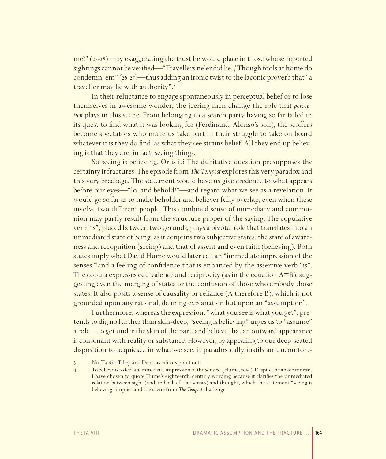$me$ ?" (27-28)—by exaggerating the trust he would place in those whose reported sightings cannot be verified—"Travellers ne'er did lie, /Though fools at home do condemn 'em"  $(26-27)$ —thus adding an ironic twist to the laconic proverb that "a traveller may lie with authority".<sup>3</sup>

In their reluctance to engage spontaneously in perceptual belief or to lose themselves in awesome wonder, the jeering men change the role that perception plays in this scene. From belonging to a search party having so far failed in its quest to find what it was looking for (Ferdinand, Alonso's son), the scoffers become spectators who make us take part in their struggle to take on board whatever it is they do find, as what they see strains belief. All they end up believing is that they are, in fact, seeing things.

So seeing is believing. Or is it? The dubitative question presupposes the certainty it fractures. The episode from *The Tempest* explores this very paradox and this very breakage. The statement would have us give credence to what appears before our eyes-"lo, and behold!"-and regard what we see as a revelation. It would go so far as to make beholder and believer fully overlap, even when these involve two different people. This combined sense of immediacy and communion may partly result from the structure proper of the saying. The copulative verb "is", placed between two gerunds, plays a pivotal role that translates into an unmediated state of being, as it conjoins two subjective states: the state of awareness and recognition (seeing) and that of assent and even faith (believing). Both states imply what David Hume would later call an "immediate impression of the senses"<sup>4</sup> and a feeling of confidence that is enhanced by the assertive verb "is". The copula expresses equivalence and reciprocity (as in the equation  $A = B$ ), suggesting even the merging of states or the confusion of those who embody those states. It also posits a sense of causality or reliance (A therefore B), which is not grounded upon any rational, defining explanation but upon an "assumption".

Furthermore, whereas the expression, "what you see is what you get", pretends to dig no further than skin-deep, "seeing is believing" urges us to "assume" a role—to get under the skin of the part, and believe that an outward appearance is consonant with reality or substance. However, by appealing to our deep-seated disposition to acquiesce in what we see, it paradoxically instils an uncomfort-

No. T<sub>476</sub> in Tilley and Dent, as editors point out.  $\mathfrak{Z}$ 

To believe is to feel an immediate impression of the senses" (Hume, p. 86). Despite the anachronism,  $\overline{4}$ I have chosen to quote Hume's eighteenth-century wording because it clarifies the unmediated relation between sight (and, indeed, all the senses) and thought, which the statement "seeing is believing" implies and the scene from The Tempest challenges.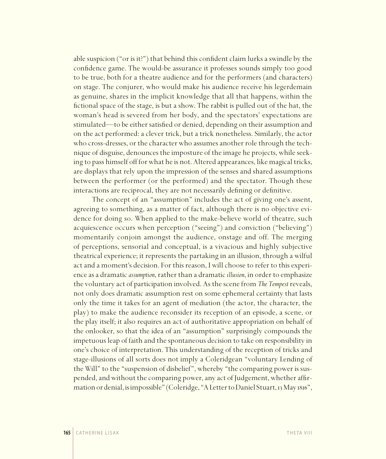able suspicion ("or is it?") that behind this confident claim lurks a swindle by the confidence game. The would-be assurance it professes sounds simply too good to be true, both for a theatre audience and for the performers (and characters) on stage. The conjurer, who would make his audience receive his legerdemain as genuine, shares in the implicit knowledge that all that happens, within the fictional space of the stage, is but a show. The rabbit is pulled out of the hat, the woman's head is severed from her body, and the spectators' expectations are stimulated—to be either satisfied or denied, depending on their assumption and on the act performed: a clever trick, but a trick nonetheless. Similarly, the actor who cross-dresses, or the character who assumes another role through the technique of disguise, denounces the imposture of the image he projects, while seeking to pass himself off for what he is not. Altered appearances, like magical tricks, are displays that rely upon the impression of the senses and shared assumptions between the performer (or the performed) and the spectator. Though these interactions are reciprocal, they are not necessarily defining or definitive.

The concept of an "assumption" includes the act of giving one's assent, agreeing to something, as a matter of fact, although there is no objective evidence for doing so. When applied to the make-believe world of theatre, such acquiescence occurs when perception ("seeing") and conviction ("believing") momentarily conjoin amongst the audience, onstage and off. The merging of perceptions, sensorial and conceptual, is a vivacious and highly subjective theatrical experience; it represents the partaking in an illusion, through a wilful act and a moment's decision. For this reason, I will choose to refer to this experience as a dramatic *assumption*, rather than a dramatic *illusion*, in order to emphasize the voluntary act of participation involved. As the scene from *The Tempest* reveals, not only does dramatic assumption rest on some ephemeral certainty that lasts only the time it takes for an agent of mediation (the actor, the character, the play) to make the audience reconsider its reception of an episode, a scene, or the play itself; it also requires an act of authoritative appropriation on behalf of the onlooker, so that the idea of an "assumption" surprisingly compounds the impetuous leap of faith and the spontaneous decision to take on responsibility in one's choice of interpretation. This understanding of the reception of tricks and stage-illusions of all sorts does not imply a Coleridgean "voluntary Lending of the Will" to the "suspension of disbelief", whereby "the comparing power is suspended, and without the comparing power, any act of Judgement, whether affirmation or denial, is impossible" (Coleridge, "A Letter to Daniel Stuart, 13May 1816",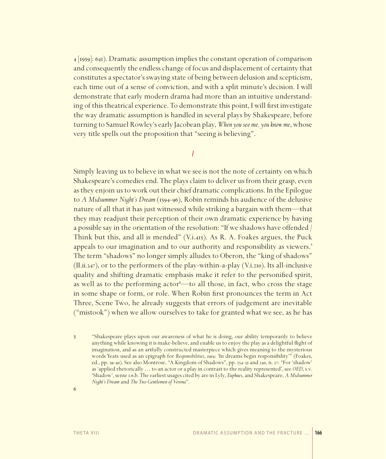4 [1959]: 641). Dramatic assumption implies the constant operation of comparison and consequently the endless change of focus and displacement of certainty that constitutes a spectator's swaying state of being between delusion and scepticism, each time out of a sense of conviction, and with a split minute's decision. I will demonstrate that early modern drama had more than an intuitive understanding of this theatrical experience. To demonstrate this point, I will first investigate the way dramatic assumption is handled in several plays by Shakespeare, before turning to Samuel Rowley's early Jacobean play, *When you see me, you know me*, whose very title spells out the proposition that "seeing is believing".

*I*

Simply leaving us to believe in what we see is not the note of certainty on which Shakespeare's comedies end. The plays claim to deliver us from their grasp, even as they enjoin us to work out their chief dramatic complications. In the Epilogue to *A Midsummer Night's Dream* (1594-96), Robin reminds his audience of the delusive nature of all that it has just witnessed while striking a bargain with them—that they may readjust their perception of their own dramatic experience by having a possible say in the orientation of the resolution: "If we shadows have offended / Think but this, and all is mended" (V.i.415). As R. A. Foakes argues, the Puck appeals to our imagination and to our authority and responsibility as viewers.<sup>5</sup> The term "shadows" no longer simply alludes to Oberon, the "king of shadows"  $(II.ii.347)$ , or to the performers of the play-within-a-play  $(V.i.210)$ . Its all-inclusive quality and shifting dramatic emphasis make it refer to the personified spirit, as well as to the performing actor<sup>6</sup>—to all those, in fact, who cross the stage in some shape or form, or role. When Robin first pronounces the term in Act Three, Scene Two, he already suggests that errors of judgement are inevitable ("mistook") when we allow ourselves to take for granted what we see, as he has

5 "Shakespeare plays upon our awareness of what he is doing, our ability temporarily to believe anything while knowing it is make-believe, and enable us to enjoy the play as a delightful flight of imagination, and as an artfully constructed masterpiece which gives meaning to the mysterious words Yeats used as an epigraph for *Responsibilities*, 1914: 'In dreams begin responsibility'" (Foakes, ed., pp. 39-40). See also Montrose, "A Kingdom of Shadows", pp. 234-35 and 240, n. 27: "For 'shadow' as 'applied rhetorically … to an actor or a play in contrast to the reality represented', see *OED*, s.v. 'Shadow', sense 1.6.b. The earliest usages cited by are in Lyly, *Euphues*, and Shakespeare, *A Midsummer Night's Dream* and *The Two Gentlemen of Verona*".

6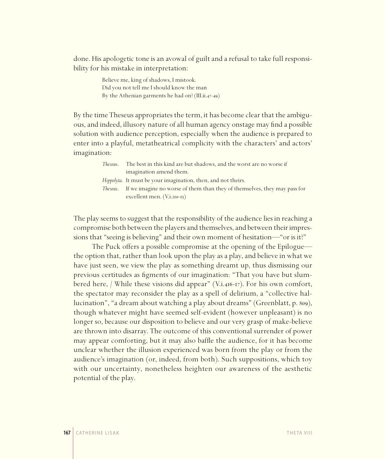done. His apologetic tone is an avowal of guilt and a refusal to take full responsibility for his mistake in interpretation:

> Believe me, king of shadows, I mistook. Did you not tell me I should know the man By the Athenian garments he had on? (III.ii.47-49)

By the time Theseus appropriates the term, it has become clear that the ambiguous, and indeed, illusory nature of all human agency onstage may find a possible solution with audience perception, especially when the audience is prepared to enter into a playful, metatheatrical complicity with the characters' and actors' imagination:

| Theseus. | The best in this kind are but shadows, and the worst are no worse if               |
|----------|------------------------------------------------------------------------------------|
|          | imagination amend them.                                                            |
|          | <i>Hippolyta.</i> It must be your imagination, then, and not theirs.               |
|          | Theseus. If we imagine no worse of them than they of themselves, they may pass for |
|          | excellent men. $(V_{.1.210-15})$                                                   |

The play seems to suggest that the responsibility of the audience lies in reaching a compromise both between the players and themselves, and between their impressions that "seeing is believing" and their own moment of hesitation—"or is it?"

The Puck offers a possible compromise at the opening of the Epilogue the option that, rather than look upon the play as a play, and believe in what we have just seen, we view the play as something dreamt up, thus dismissing our previous certitudes as figments of our imagination: "That you have but slumbered here, / While these visions did appear" (V.i.416-17). For his own comfort, the spectator may reconsider the play as a spell of delirium, a "collective hallucination", "a dream about watching a play about dreams" (Greenblatt, p. 809), though whatever might have seemed self-evident (however unpleasant) is no longer so, because our disposition to believe and our very grasp of make-believe are thrown into disarray. The outcome of this conventional surrender of power may appear comforting, but it may also baffle the audience, for it has become unclear whether the illusion experienced was born from the play or from the audience's imagination (or, indeed, from both). Such suppositions, which toy with our uncertainty, nonetheless heighten our awareness of the aesthetic potential of the play.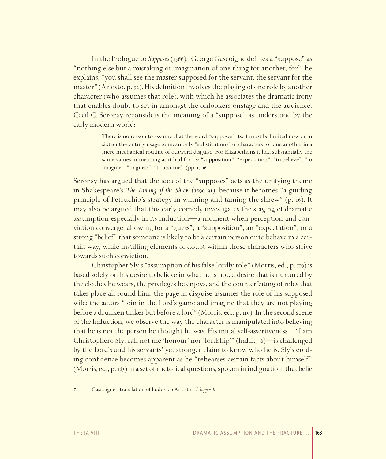In the Prologue to Supposes (1566),<sup>7</sup> George Gascoigne defines a "suppose" as "nothing else but a mistaking or imagination of one thing for another, for", he explains, "you shall see the master supposed for the servant, the servant for the master" (Ariosto, p. 92). His definition involves the playing of one role by another character (who assumes that role), with which he associates the dramatic irony that enables doubt to set in amongst the onlookers onstage and the audience. Cecil C. Seronsy reconsiders the meaning of a "suppose" as understood by the early modern world:

> There is no reason to assume that the word "supposes" itself must be limited now or in sixteenth-century usage to mean only "substitutions" of characters for one another in a mere mechanical routine of outward disguise. For Elizabethans it had substantially the same values in meaning as it had for us: "supposition", "expectation", "to believe", "to imagine", "to guess", "to assume". (pp. 15-16)

Seronsy has argued that the idea of the "supposes" acts as the unifying theme in Shakespeare's *The Taming of the Shrew* (1590-91), because it becomes "a guiding principle of Petruchio's strategy in winning and taming the shrew" (p. 16). It may also be argued that this early comedy investigates the staging of dramatic assumption especially in its Induction—a moment when perception and conviction converge, allowing for a "guess", a "supposition", an "expectation", or a strong "belief" that someone is likely to be a certain person or to behave in a certain way, while instilling elements of doubt within those characters who strive towards such conviction.

Christopher Sly's "assumption of his false lordly role" (Morris, ed., p. 119) is based solely on his desire to believe in what he is not, a desire that is nurtured by the clothes he wears, the privileges he enjoys, and the counterfeiting of roles that takes place all round him: the page in disguise assumes the role of his supposed wife; the actors "join in the Lord's game and imagine that they are not playing before a drunken tinker but before a lord" (Morris, ed., p. 119). In the second scene of the Induction, we observe the way the character is manipulated into believing that he is not the person he thought he was. His initial self-assertiveness—"I am Christophero Sly, call not me 'honour' nor 'lordship'" (Ind.ii.5-6)—is challenged by the Lord's and his servants' yet stronger claim to know who he is. Sly's eroding confidence becomes apparent as he "rehearses certain facts about himself" (Morris, ed., p. 163) in a set of rhetorical questions, spoken in indignation, that belie

7 Gascoigne's translation of Ludovico Ariosto's *I Suppositi.*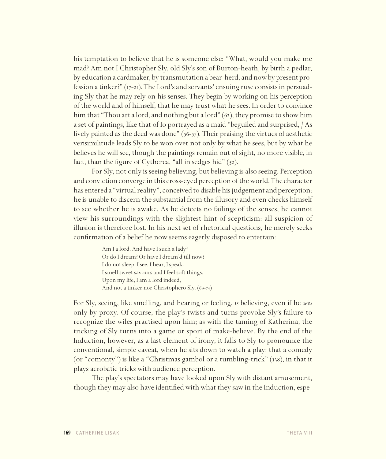his temptation to believe that he is someone else: "What, would you make me mad? Am not I Christopher Sly, old Sly's son of Burton-heath, by birth a pedlar, by education a cardmaker, by transmutation a bear-herd, and now by present profession a tinker?" (17-21). The Lord's and servants' ensuing ruse consists in persuading Sly that he may rely on his senses. They begin by working on his perception of the world and of himself, that he may trust what he sees. In order to convince him that "Thou art a lord, and nothing but a lord" (62), they promise to show him a set of paintings, like that of Io portrayed as a maid "beguiled and surprised, / As lively painted as the deed was done" (56-57). Their praising the virtues of aesthetic verisimilitude leads Sly to be won over not only by what he sees, but by what he believes he will see, though the paintings remain out of sight, no more visible, in fact, than the figure of Cytherea, "all in sedges hid" (52).

For Sly, not only is seeing believing, but believing is also seeing. Perception and conviction converge in this cross-eyed perception of the world. The character has entered a "virtual reality", conceived to disable his judgement and perception: he is unable to discern the substantial from the illusory and even checks himself to see whether he is awake. As he detects no failings of the senses, he cannot view his surroundings with the slightest hint of scepticism: all suspicion of illusion is therefore lost. In his next set of rhetorical questions, he merely seeks confirmation of a belief he now seems eagerly disposed to entertain:

> Am Ia lord, And have I such a lady? Or do I dream? Or have I dream'd till now? I do not sleep. I see, I hear, I speak. I smell sweet savours and I feel soft things. Upon my life, Iam a lord indeed, And not a tinker nor Christophero Sly. (69-74)

For Sly, seeing, like smelling, and hearing or feeling, *is* believing, even if he *sees* only by proxy. Of course, the play's twists and turns provoke Sly's failure to recognize the wiles practised upon him; as with the taming of Katherina, the tricking of Sly turns into a game or sport of make-believe. By the end of the Induction, however, as a last element of irony, it falls to Sly to pronounce the conventional, simple caveat, when he sits down to watch a play: that a comedy (or "comonty") is like a "Christmas gambol or a tumbling-trick" (138), in that it plays acrobatic tricks with audience perception.

The play's spectators may have looked upon Sly with distant amusement, though they may also have identified with what they saw in the Induction, espe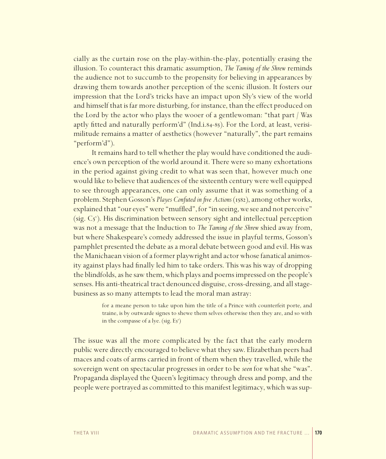cially as the curtain rose on the play-within-the-play, potentially erasing the illusion. To counteract this dramatic assumption, The Taming of the Shrew reminds the audience not to succumb to the propensity for believing in appearances by drawing them towards another perception of the scenic illusion. It fosters our impression that the Lord's tricks have an impact upon Sly's view of the world and himself that is far more disturbing, for instance, than the effect produced on the Lord by the actor who plays the wooer of a gentlewoman: "that part / Was aptly fitted and naturally perform'd" (Ind.i.84-85). For the Lord, at least, verisimilitude remains a matter of aesthetics (however "naturally", the part remains "perform'd").

It remains hard to tell whether the play would have conditioned the audience's own perception of the world around it. There were so many exhortations in the period against giving credit to what was seen that, however much one would like to believe that audiences of the sixteenth century were well equipped to see through appearances, one can only assume that it was something of a problem. Stephen Gosson's Playes Confuted in five Actions (1582), among other works, explained that "our eyes" were "muffled", for "in seeing, we see and not perceive" (sig.  $C_5$ <sup>v</sup>). His discrimination between sensory sight and intellectual perception was not a message that the Induction to *The Taming of the Shrew* shied away from, but where Shakespeare's comedy addressed the issue in playful terms, Gosson's pamphlet presented the debate as a moral debate between good and evil. His was the Manichaean vision of a former playwright and actor whose fanatical animosity against plays had finally led him to take orders. This was his way of dropping the blindfolds, as he saw them, which plays and poems impressed on the people's senses. His anti-theatrical tract denounced disguise, cross-dressing, and all stagebusiness as so many attempts to lead the moral man astray:

> for a meane person to take upon him the title of a Prince with counterfeit porte, and traine, is by outwarde signes to shewe them selves otherwise then they are, and so with in the compasse of a lye. (sig.  $E_5^r$ )

The issue was all the more complicated by the fact that the early modern public were directly encouraged to believe what they saw. Elizabethan peers had maces and coats of arms carried in front of them when they travelled, while the sovereign went on spectacular progresses in order to be seen for what she "was". Propaganda displayed the Queen's legitimacy through dress and pomp, and the people were portrayed as committed to this manifest legitimacy, which was sup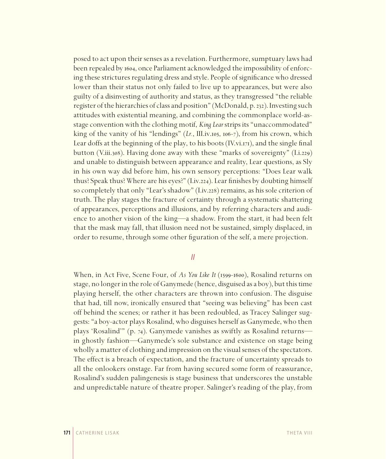posed to act upon their senses as a revelation. Furthermore, sumptuary laws had been repealed by 1604, once Parliament acknowledged the impossibility of enforcing these strictures regulating dress and style. People of significance who dressed lower than their status not only failed to live up to appearances, but were also guilty of a disinvesting of authority and status, as they transgressed "the reliable register of the hierarchies of class and position" (McDonald, p.232). Investing such attitudes with existential meaning, and combining the commonplace world-asstage convention with the clothing motif, *King Lear* strips its "unaccommodated" king of the vanity of his "lendings" (*Lr.*, III.iv.105, 106-7), from his crown, which Lear doffs at the beginning of the play, to his boots (IV.vi.171), and the single final button (V.iii.308). Having done away with these "marks of sovereignty" (I.i.229) and unable to distinguish between appearance and reality, Lear questions, as Sly in his own way did before him, his own sensory perceptions: "Does Lear walk thus? Speak thus? Where are his eyes?" (I.iv.224). Lear finishes by doubting himself so completely that only "Lear's shadow" (I.iv.228) remains, as his sole criterion of truth. The play stages the fracture of certainty through a systematic shattering of appearances, perceptions and illusions, and by referring characters and audience to another vision of the king—a shadow. From the start, it had been felt that the mask may fall, that illusion need not be sustained, simply displaced, in order to resume, through some other figuration of the self, a mere projection.

#### *II*

When, in Act Five, Scene Four, of *As You Like It* (1599-1600), Rosalind returns on stage, no longer in the role of Ganymede (hence, disguised as a boy), but this time playing herself, the other characters are thrown into confusion. The disguise that had, till now, ironically ensured that "seeing was believing" has been cast off behind the scenes; or rather it has been redoubled, as Tracey Salinger suggests: "a boy-actor plays Rosalind, who disguises herself as Ganymede, who then plays 'Rosalind'" (p. 74). Ganymede vanishes as swiftly as Rosalind returns in ghostly fashion—Ganymede's sole substance and existence on stage being wholly a matter of clothing and impression on the visual senses of the spectators. The effect is a breach of expectation, and the fracture of uncertainty spreads to all the onlookers onstage. Far from having secured some form of reassurance, Rosalind's sudden palingenesis is stage business that underscores the unstable and unpredictable nature of theatre proper. Salinger's reading of the play, from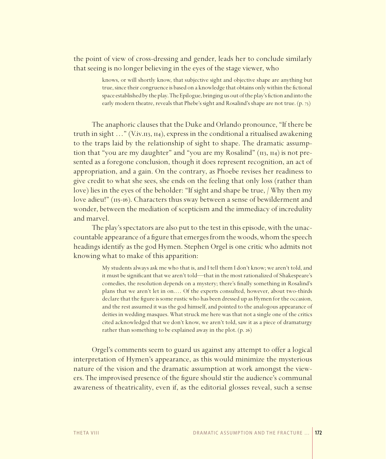the point of view of cross-dressing and gender, leads her to conclude similarly that seeing is no longer believing in the eyes of the stage viewer, who

> knows, or will shortly know, that subjective sight and objective shape are anything but true, since their congruence is based on a knowledge that obtains only within the fictional space established by the play. The Epilogue, bringing us out of the play's fiction and into the early modern theatre, reveals that Phebe's sight and Rosalind's shape are not true. (p. 73)

The anaphoric clauses that the Duke and Orlando pronounce, "If there be truth in sight …" (V.iv.113, 114), express in the conditional a ritualised awakening to the traps laid by the relationship of sight to shape. The dramatic assumption that "you are my daughter" and "you are my Rosalind" (113, 114) is not presented as a foregone conclusion, though it does represent recognition, an act of appropriation, and a gain. On the contrary, as Phoebe revises her readiness to give credit to what she sees, she ends on the feeling that only loss (rather than love) lies in the eyes of the beholder: "If sight and shape be true, / Why then my love adieu!" (115-16). Characters thus sway between a sense of bewilderment and wonder, between the mediation of scepticism and the immediacy of incredulity and marvel.

The play's spectators are also put to the test in this episode, with the unaccountable appearance of a figure that emerges from the woods, whom the speech headings identify as the god Hymen. Stephen Orgel is one critic who admits not knowing what to make of this apparition:

> My students always ask me who that is, and I tell them I don't know; we aren't told, and it must be significant that we aren't told—that in the most rationalized of Shakespeare's comedies, the resolution depends on a mystery; there's finally something in Rosalind's plans that we aren't let in on.… Of the experts consulted, however, about two-thirds declare that the figure is some rustic who has been dressed up as Hymen for the occasion, and the rest assumed it was the god himself, and pointed to the analogous appearance of deities in wedding masques. What struck me here was that not a single one of the critics cited acknowledged that we don't know, we aren't told, saw it as a piece of dramaturgy rather than something to be explained away in the plot. (p. 26)

Orgel's comments seem to guard us against any attempt to offer a logical interpretation of Hymen's appearance, as this would minimize the mysterious nature of the vision and the dramatic assumption at work amongst the viewers. The improvised presence of the figure should stir the audience's communal awareness of theatricality, even if, as the editorial glosses reveal, such a sense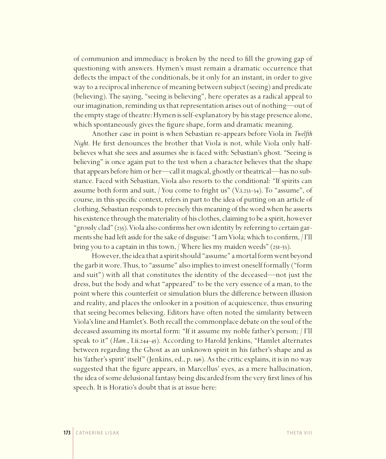of communion and immediacy is broken by the need to fill the growing gap of questioning with answers. Hymen's must remain a dramatic occurrence that deflects the impact of the conditionals, be it only for an instant, in order to give way to a reciprocal inherence of meaning between subject (seeing) and predicate (believing). The saying, "seeing is believing", here operates as a radical appeal to our imagination, reminding us that representation arises out of nothing—out of the empty stage of theatre: Hymen is self-explanatory by his stage presence alone, which spontaneously gives the figure shape, form and dramatic meaning.

Another case in point is when Sebastian re-appears before Viola in *Twelfth Night*. He first denounces the brother that Viola is not, while Viola only halfbelieves what she sees and assumes she is faced with: Sebastian's ghost. "Seeing is believing" is once again put to the test when a character believes that the shape that appears before him or her—call it magical, ghostly or theatrical—has no substance. Faced with Sebastian, Viola also resorts to the conditional: "If spirits can assume both form and suit, / You come to fright us" (V.i.233-34). To "assume", of course, in this specific context, refers in part to the idea of putting on an article of clothing. Sebastian responds to precisely this meaning of the word when he asserts his existence through the materiality of his clothes, claiming to be a spirit, however "grossly clad" (235). Viola also confirms her own identity by referring to certain garments she had left aside for the sake of disguise: "Iam Viola; which to confirm, / I'll bring you to a captain in this town, / Where lies my maiden weeds" (251-53).

However, the idea that a spirit should "assume" a mortal form went beyond the garb it wore. Thus, to "assume" also implies to invest oneself formally ("form and suit") with all that constitutes the identity of the deceased—not just the dress, but the body and what "appeared" to be the very essence of a man, to the point where this counterfeit or simulation blurs the difference between illusion and reality, and places the onlooker in a position of acquiescence, thus ensuring that seeing becomes believing. Editors have often noted the similarity between Viola's line and Hamlet's. Both recall the commonplace debate on the soul of the deceased assuming its mortal form: "If it assume my noble father's person; / I'll speak to it" (*Ham.*, I.ii.244-45). According to Harold Jenkins, "Hamlet alternates between regarding the Ghost as an unknown spirit in his father's shape and as his 'father's spirit' itself" (Jenkins, ed., p. 196). As the critic explains, it is in no way suggested that the figure appears, in Marcellus' eyes, as a mere hallucination, the idea of some delusional fantasy being discarded from the very first lines of his speech. It is Horatio's doubt that is at issue here: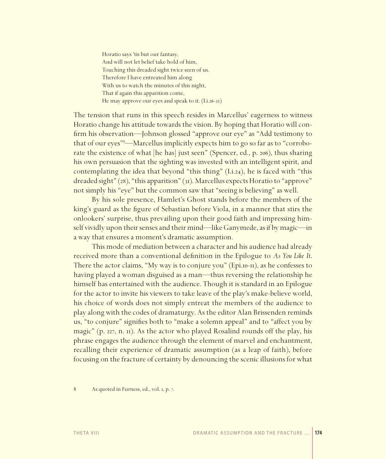Horatio says 'tis but our fantasy, And will not let belief take hold of him, Touching this dreaded sight twice seen of us. Therefore I have entreated him along With us to watch the minutes of this night, That if again this apparition come, He may approve our eyes and speak to it. (I.i.26-32)

The tension that runs in this speech resides in Marcellus' eagerness to witness Horatio change his attitude towards the vision. By hoping that Horatio will confirm his observation—Johnson glossed "approve our eye" as "Add testimony to that of our eyes"8 —Marcellus implicitly expects him to go so far as to "corroborate the existence of what [he has] just seen" (Spencer, ed., p. 206), thus sharing his own persuasion that the sighting was invested with an intelligent spirit, and contemplating the idea that beyond "this thing"  $(I.i.24)$ , he is faced with "this dreaded sight" (28), "this apparition" (31). Marcellus expects Horatio to "approve" not simply his "eye" but the common saw that "seeing is believing" as well.

By his sole presence, Hamlet's Ghost stands before the members of the king's guard as the figure of Sebastian before Viola, in a manner that stirs the onlookers' surprise, thus prevailing upon their good faith and impressing himself vividly upon their senses and their mind—like Ganymede, as if by magic—in a way that ensures a moment's dramatic assumption.

This mode of mediation between a character and his audience had already received more than a conventional definition in the Epilogue to *As You Like It*. There the actor claims, "My way is to conjure you" (Epi.10-11), as he confesses to having played a woman disguised as a man—thus reversing the relationship he himself has entertained with the audience. Though it is standard in an Epilogue for the actor to invite his viewers to take leave of the play's make-believe world, his choice of words does not simply entreat the members of the audience to play along with the codes of dramaturgy. As the editor Alan Brissenden reminds us, "to conjure" signifies both to "make a solemn appeal" and to "affect you by magic" (p. 227, n. II). As the actor who played Rosalind rounds off the play, his phrase engages the audience through the element of marvel and enchantment, recalling their experience of dramatic assumption (as a leap of faith), before focusing on the fracture of certainty by denouncing the scenic illusions for what

8 As quoted in Furness, ed., vol. 1, p. 7.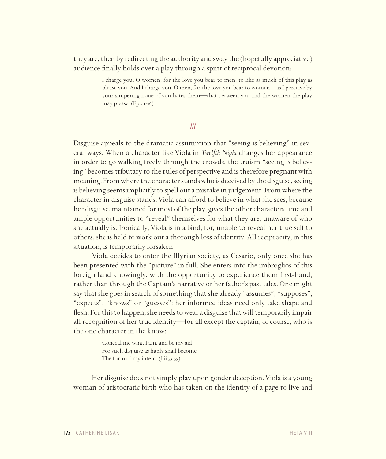they are, then by redirecting the authority and sway the (hopefully appreciative) audience finally holds over a play through a spirit of reciprocal devotion:

> I charge you, O women, for the love you bear to men, to like as much of this play as please you. And I charge you, O men, for the love you bear to women—as I perceive by your simpering none of you hates them—that between you and the women the play may please. (Epi.11-16)

> > *III*

Disguise appeals to the dramatic assumption that "seeing is believing" in several ways. When a character like Viola in *Twelfth Night* changes her appearance in order to go walking freely through the crowds, the truism "seeing is believing" becomes tributary to the rules of perspective and is therefore pregnant with meaning. From where the character stands who is deceived by the disguise, seeing is believing seems implicitly to spell out a mistake in judgement. From where the character in disguise stands, Viola can afford to believe in what she sees, because her disguise, maintained for most of the play, gives the other characters time and ample opportunities to "reveal" themselves for what they are, unaware of who she actually is. Ironically, Viola is in a bind, for, unable to reveal her true self to others, she is held to work out a thorough loss of identity. All reciprocity, in this situation, is temporarily forsaken.

Viola decides to enter the Illyrian society, as Cesario, only once she has been presented with the "picture" in full. She enters into the imbroglios of this foreign land knowingly, with the opportunity to experience them first-hand, rather than through the Captain's narrative or her father's past tales. One might say that she goes in search of something that she already "assumes", "supposes", "expects", "knows" or "guesses": her informed ideas need only take shape and flesh. For this to happen, she needs to wear a disguise that will temporarily impair all recognition of her true identity—for all except the captain, of course, who is the one character in the know:

> Conceal me what Iam, and be my aid For such disguise as haply shall become The form of my intent. (I.ii.53-55)

Her disguise does not simply play upon gender deception. Viola is a young woman of aristocratic birth who has taken on the identity of a page to live and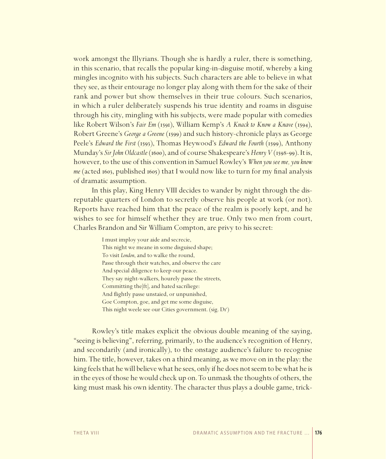work amongst the Illyrians. Though she is hardly a ruler, there is something, in this scenario, that recalls the popular king-in-disguise motif, whereby a king mingles incognito with his subjects. Such characters are able to believe in what they see, as their entourage no longer play along with them for the sake of their rank and power but show themselves in their true colours. Such scenarios, in which a ruler deliberately suspends his true identity and roams in disguise through his city, mingling with his subjects, were made popular with comedies like Robert Wilson's *Fair Em* (1591), William Kemp's *A Knack to Know a Knave* (1594), Robert Greene's *George a Greene* (1599) and such history-chronicle plays as George Peele's *Edward the First* (1593), Thomas Heywood's *Edward the Fourth* (1599), Anthony Munday's *Sir John Oldcastle* (1600), and of course Shakespeare's *Henry V* (1598-99). It is, however, to the use of this convention in Samuel Rowley's *When you see me, you know me* (acted 1603, published 1605) that I would now like to turn for my final analysis of dramatic assumption.

In this play, King Henry VIII decides to wander by night through the disreputable quarters of London to secretly observe his people at work (or not). Reports have reached him that the peace of the realm is poorly kept, and he wishes to see for himself whether they are true. Only two men from court, Charles Brandon and Sir William Compton, are privy to his secret:

> I must imploy your aide and secrecie, This night we meane in some disguised shape; To visit *London*, and to walke the round, Passe through their watches, and observe the care And special diligence to keep our peace. They say night-walkers, hourely passe the streets, Committing the[ft], and hated sacriliege: And flightly passe unstaied, or unpunished, Goe Compton, goe, and get me some disguise, This night weele see our Cities government. (sig. Dr')

Rowley's title makes explicit the obvious double meaning of the saying, "seeing is believing", referring, primarily, to the audience's recognition of Henry, and secondarily (and ironically), to the onstage audience's failure to recognise him. The title, however, takes on a third meaning, as we move on in the play: the king feels that he will believe what he sees, only if he does not seem to be what he is in the eyes of those he would check up on. To unmask the thoughts of others, the king must mask his own identity. The character thus plays a double game, trick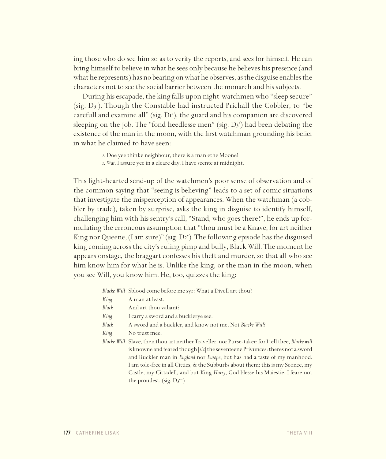ing those who do see him so as to verify the reports, and sees for himself. He can bring himself to believe in what he sees only because he believes his presence (and what he represents) has no bearing on what he observes, as the disguise enables the characters not to see the social barrier between the monarch and his subjects.

During his escapade, the king falls upon night-watchmen who "sleep secure" (sig. D3<sup>r</sup>). Though the Constable had instructed Prichall the Cobbler, to "be carefull and examine all" (sig. Dr'), the guard and his companion are discovered sleeping on the job. The "fond heedlesse men" (sig.  $D_3$ ) had been debating the existence of the man in the moon, with the first watchman grounding his belief in what he claimed to have seen:

*2*. Doe yee thinke neighbour, there is a man ethe Moone?

*1*. *Wat*. Iassure yee in a cleare day, I have seente at midnight.

This light-hearted send-up of the watchmen's poor sense of observation and of the common saying that "seeing is believing" leads to a set of comic situations that investigate the misperception of appearances. When the watchman (a cobbler by trade), taken by surprise, asks the king in disguise to identify himself, challenging him with his sentry's call, "Stand, who goes there?", he ends up formulating the erroneous assumption that "thou must be a Knave, for art neither King nor Queene, (Iam sure)" (sig. D2 v ). The following episode has the disguised king coming across the city's ruling pimp and bully, Black Will. The moment he appears onstage, the braggart confesses his theft and murder, so that all who see him know him for what he is. Unlike the king, or the man in the moon, when you see Will, you know him. He, too, quizzes the king:

*Blacke Will* Sblood come before me syr: What a Divell art thou?

- *Black* And art thou valiant?
- *King* I carry a sword and a bucklerye see.
- *Black* A sword and a buckler, and know not me, Not *Blacke Will*?
- *King* No trust mee.
- *Blacke Will* Slave, then thou art neither Traveller, nor Purse-taker: for Itell thee, *Blacke will* is knowne and feared though [*sic*] the seventeene Privunces: theres not a sword and Buckler man in *England* nor *Europe*, but has had a taste of my manhood. Iam tole-free in all Citties, & the Subburbs about them: this is my Sconce, my Castle, my Cittadell, and but King *Harry*, God blesse his Maiestie, I feare not the proudest. (sig. D3<sup>r-v</sup>)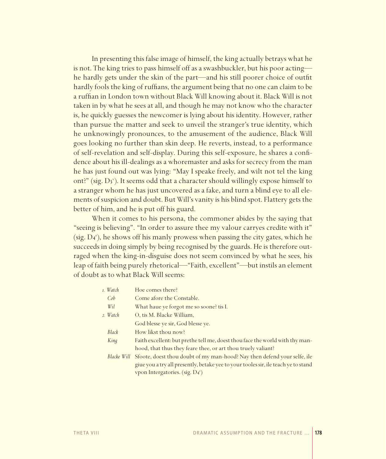In presenting this false image of himself, the king actually betrays what he is not. The king tries to pass himself off as a swashbuckler, but his poor acting he hardly gets under the skin of the part—and his still poorer choice of outfit hardly fools the king of ruffians, the argument being that no one can claim to be a ruffian in London town without Black Will knowing about it. Black Will is not taken in by what he sees at all, and though he may not know who the character is, he quickly guesses the newcomer is lying about his identity. However, rather than pursue the matter and seek to unveil the stranger's true identity, which he unknowingly pronounces, to the amusement of the audience, Black Will goes looking no further than skin deep. He reverts, instead, to a performance of self-revelation and self-display. During this self-exposure, he shares a confi dence about his ill-dealings as a whoremaster and asks for secrecy from the man he has just found out was lying: "May I speake freely, and wilt not tel the king ont?" (sig. D3'). It seems odd that a character should willingly expose himself to a stranger whom he has just uncovered as a fake, and turn a blind eye to all elements of suspicion and doubt. But Will's vanity is his blind spot. Flattery gets the better of him, and he is put off his guard.

When it comes to his persona, the commoner abides by the saying that "seeing is believing". "In order to assure thee my valour carryes credite with it" (sig. D<sub>4</sub><sup>r</sup>), he shows off his manly prowess when passing the city gates, which he succeeds in doing simply by being recognised by the guards. He is therefore outraged when the king-in-disguise does not seem convinced by what he sees, his leap of faith being purely rhetorical—"Faith, excellent"—but instils an element of doubt as to what Black Will seems:

| 1. Watch        | Hoe comes there?                                                                   |
|-----------------|------------------------------------------------------------------------------------|
| Cob             | Come afore the Constable.                                                          |
| Wi <sub>i</sub> | What haue ye forgot me so soone? tis I.                                            |
| 2. Watch        | O, tis M. Blacke William,                                                          |
|                 | God blesse ye sir, God blesse ye.                                                  |
| Black           | How likst thou now?                                                                |
| King            | Faith excellent: but prethe tell me, doest thou face the world with thy man-       |
|                 | hood, that thus they feare thee, or art thou truely valiant?                       |
| Blacke Will     | Sfoote, doest thou doubt of my man-hood? Nay then defend your selfe, ile           |
|                 | giue you a try all presently, betake yee to your tooles sir, ile teach ye to stand |
|                 | vpon Intergatories. (sig. $D_4^r$ )                                                |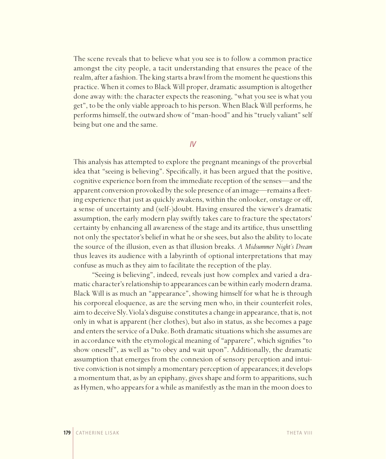The scene reveals that to believe what you see is to follow a common practice amongst the city people, a tacit understanding that ensures the peace of the realm, after a fashion. The king starts a brawl from the moment he questions this practice. When it comes to Black Will proper, dramatic assumption is altogether done away with: the character expects the reasoning, "what you see is what you get", to be the only viable approach to his person. When Black Will performs, he performs himself, the outward show of "man-hood" and his "truely valiant" self being but one and the same.

#### *IV*

This analysis has attempted to explore the pregnant meanings of the proverbial idea that "seeing is believing". Specifically, it has been argued that the positive, cognitive experience born from the immediate reception of the senses—and the apparent conversion provoked by the sole presence of an image—remains a fleeting experience that just as quickly awakens, within the onlooker, onstage or off, a sense of uncertainty and (self-)doubt. Having ensured the viewer's dramatic assumption, the early modern play swiftly takes care to fracture the spectators' certainty by enhancing all awareness of the stage and its artifice, thus unsettling not only the spectator's belief in what he or she sees, but also the ability to locate the source of the illusion, even as that illusion breaks. *A Midsummer Night's Dream* thus leaves its audience with a labyrinth of optional interpretations that may confuse as much as they aim to facilitate the reception of the play.

"Seeing is believing", indeed, reveals just how complex and varied a dramatic character's relationship to appearances can be within early modern drama. Black Will is as much an "appearance", showing himself for what he is through his corporeal eloquence, as are the serving men who, in their counterfeit roles, aim to deceive Sly. Viola's disguise constitutes a change in appearance, that is, not only in what is apparent (her clothes), but also in status, as she becomes a page and enters the service of a Duke. Both dramatic situations which she assumes are in accordance with the etymological meaning of "apparere", which signifies "to show oneself", as well as "to obey and wait upon". Additionally, the dramatic assumption that emerges from the connexion of sensory perception and intuitive conviction is not simply a momentary perception of appearances; it develops a momentum that, as by an epiphany, gives shape and form to apparitions, such as Hymen, who appears for a while as manifestly as the man in the moon does to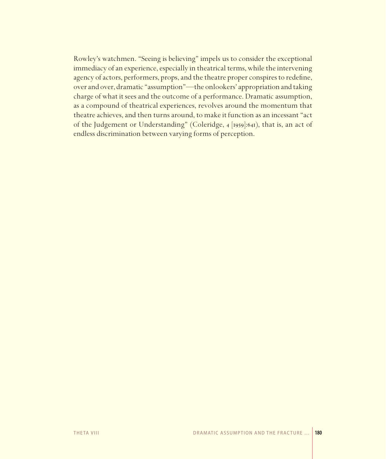Rowley's watchmen. "Seeing is believing" impels us to consider the exceptional immediacy of an experience, especially in theatrical terms, while the intervening agency of actors, performers, props, and the theatre proper conspires to redefine, over and over, dramatic "assumption"-the onlookers' appropriation and taking charge of what it sees and the outcome of a performance. Dramatic assumption, as a compound of theatrical experiences, revolves around the momentum that theatre achieves, and then turns around, to make it function as an incessant "act of the Judgement or Understanding" (Coleridge, 4 [1959]:641), that is, an act of endless discrimination between varying forms of perception.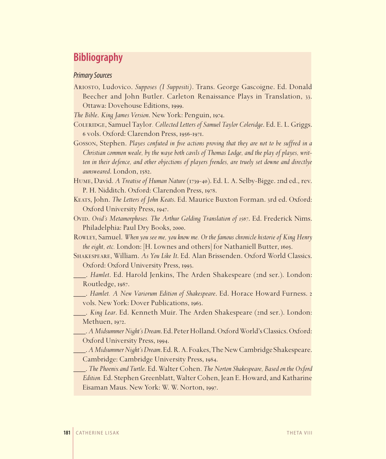# **Bibliography**

#### *Primary Sources*

Ariosto, Ludovico. *Supposes (I Suppositi)*. Trans. George Gascoigne. Ed. Donald Beecher and John Butler. Carleton Renaissance Plays in Translation, 33. Ottawa: Dovehouse Editions, 1999.

*The Bible*. *King James Version*. New York: Penguin, 1974.

- Coleridge, Samuel Taylor*. Collected Letters of Samuel Taylor Coleridge*. Ed. E. L. Griggs. 6 vols. Oxford: Clarendon Press, 1956-1971.
- Gosson, Stephen. *Playes confuted in five actions proving that they are not to be suffred in a Christian common weale, by the waye both cavils of Thomas Lodge, and the play of playes, written in their defence, and other objections of players frendes, are truely set downe and directlye aunsweared*. London, 1582.
- Hume, David. *A Treatise of Human Nature* (1739-40). Ed. L. A. Selby-Bigge. 2nd ed., rev. P. H. Nidditch. Oxford: Clarendon Press, 1978.
- Keats, John. *The Letters of John Keats*. Ed. Maurice Buxton Forman. 3rd ed. Oxford: Oxford University Press, 1947.
- Ovid. *Ovid's Metamorphoses. The Arthur Golding Translation of 1567*. Ed. Frederick Nims. Philadelphia: Paul Dry Books, 2000.
- Rowley, Samuel. *When you see me, you know me. Or the famous chronicle historie of King Henry the eight, etc.* London: [H. Lownes and others] for Nathaniell Butter, 1605.
- Shakespeare, William. *As You Like It*. Ed. Alan Brissenden. Oxford World Classics. Oxford: Oxford University Press, 1993.
- \_\_\_. *Hamlet*. Ed. Harold Jenkins, The Arden Shakespeare (2nd ser.). London: Routledge, 1987.
- \_\_\_. *Hamlet. A New Variorum Edition of Shakespeare*. Ed. Horace Howard Furness. 2 vols. New York: Dover Publications, 1963.
- \_\_\_. *King Lear*. Ed. Kenneth Muir. The Arden Shakespeare (2nd ser.). London: Methuen, 1972.
- \_\_\_. *A Midsummer Night's Dream*. Ed. Peter Holland. Oxford World's Classics. Oxford: Oxford University Press, 1994.
- \_\_\_. *A Midsummer Night's Dream*. Ed. R. A. Foakes, The New Cambridge Shakespeare. Cambridge: Cambridge University Press, 1984.
- \_\_\_. *The Phoenix and Turtle*. Ed. Walter Cohen. *The Norton Shakespeare, Based on the Oxford Edition.* Ed. Stephen Greenblatt, Walter Cohen, Jean E. Howard, and Katharine Eisaman Maus. New York: W. W. Norton, 1997.